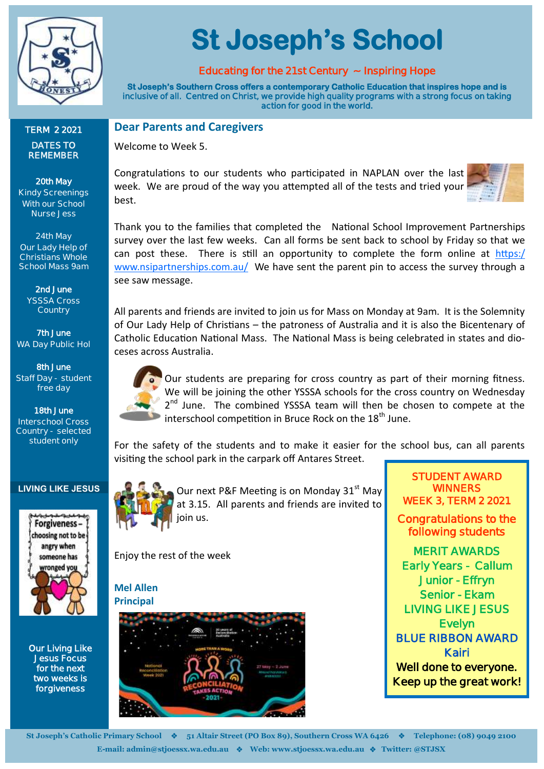

**TERM 2 2021 DATES TO REMEMBER**

**20th May Kindy Screenings With our School Nurse Jess**

**24th May Our Lady Help of Christians Whole School Mass 9am**

> **2nd June YSSSA Cross Country**

**7th June WA Day Public Hol**

**8th June Staff Day - student free day**

**18th June Interschool Cross Country - selected student only**

# **St Joseph's School**

## **Educating for the 21st Century ~ Inspiring Hope**

**St Joseph's Southern Cross offers a contemporary Catholic Education that inspires hope and is inclusive of all. Centred on Christ, we provide high quality programs with a strong focus on taking action for good in the world.** 

### **Dear Parents and Caregivers**

Welcome to Week 5.

Congratulations to our students who participated in NAPLAN over the last week. We are proud of the way you attempted all of the tests and tried your best.



Thank you to the families that completed the National School Improvement Partnerships survey over the last few weeks. Can all forms be sent back to school by Friday so that we can post these. There is still an opportunity to complete the form online at  $\frac{https://}{https://}$  $\frac{https://}{https://}$  $\frac{https://}{https://}$ [www.nsipartnerships.com.au/](https://www.nsipartnerships.com.au/) We have sent the parent pin to access the survey through a see saw message.

All parents and friends are invited to join us for Mass on Monday at 9am. It is the Solemnity of Our Lady Help of Christians – the patroness of Australia and it is also the Bicentenary of Catholic Education National Mass. The National Mass is being celebrated in states and dioceses across Australia.



Our students are preparing for cross country as part of their morning fitness. We will be joining the other YSSSA schools for the cross country on Wednesday 2<sup>nd</sup> June. The combined YSSSA team will then be chosen to compete at the interschool competition in Bruce Rock on the  $18<sup>th</sup>$  June.

For the safety of the students and to make it easier for the school bus, can all parents visiting the school park in the carpark off Antares Street.

#### **LIVING LIKE JESUS**



**Our Living Like Jesus Focus for the next two weeks is forgiveness** 



Our next P&F Meeting is on Monday 31<sup>st</sup> May at 3.15. All parents and friends are invited to

Enjoy the rest of the week

**Mel Allen Principal**



**STUDENT AWARD WINNERS WEEK 3, TERM 2 2021** 

**Congratulations to the following students** 

**MERIT AWARDS Early Years - Callum Junior - Effryn Senior - Ekam LIVING LIKE JESUS Evelyn BLUE RIBBON AWARD Kairi Well done to everyone. Keep up the great work!**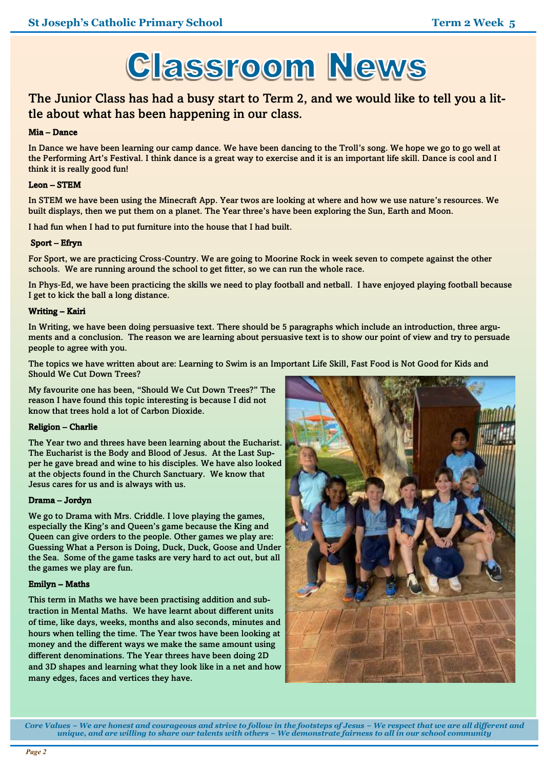

## The Junior Class has had a busy start to Term 2, and we would like to tell you a little about what has been happening in our class.

#### Mia – Dance

In Dance we have been learning our camp dance. We have been dancing to the Troll's song. We hope we go to go well at the Performing Art's Festival. I think dance is a great way to exercise and it is an important life skill. Dance is cool and I think it is really good fun!

#### Leon – STEM

In STEM we have been using the Minecraft App. Year twos are looking at where and how we use nature's resources. We built displays, then we put them on a planet. The Year three's have been exploring the Sun, Earth and Moon.

I had fun when I had to put furniture into the house that I had built.

#### Sport – Efryn

For Sport, we are practicing Cross-Country. We are going to Moorine Rock in week seven to compete against the other schools. We are running around the school to get fitter, so we can run the whole race.

In Phys-Ed, we have been practicing the skills we need to play football and netball. I have enjoyed playing football because I get to kick the ball a long distance.

#### Writing – Kairi

In Writing, we have been doing persuasive text. There should be 5 paragraphs which include an introduction, three arguments and a conclusion. The reason we are learning about persuasive text is to show our point of view and try to persuade people to agree with you.

The topics we have written about are: Learning to Swim is an Important Life Skill, Fast Food is Not Good for Kids and Should We Cut Down Trees?

My favourite one has been, "Should We Cut Down Trees?" The reason I have found this topic interesting is because I did not know that trees hold a lot of Carbon Dioxide.

#### Religion – Charlie

The Year two and threes have been learning about the Eucharist. The Eucharist is the Body and Blood of Jesus. At the Last Supper he gave bread and wine to his disciples. We have also looked at the objects found in the Church Sanctuary. We know that Jesus cares for us and is always with us.

#### Drama – Jordyn

We go to Drama with Mrs. Criddle. I love playing the games, especially the King's and Queen's game because the King and Queen can give orders to the people. Other games we play are: Guessing What a Person is Doing, Duck, Duck, Goose and Under the Sea. Some of the game tasks are very hard to act out, but all the games we play are fun.

#### Emilyn – Maths

This term in Maths we have been practising addition and subtraction in Mental Maths. We have learnt about different units of time, like days, weeks, months and also seconds, minutes and hours when telling the time. The Year twos have been looking at money and the different ways we make the same amount using different denominations. The Year threes have been doing 2D and 3D shapes and learning what they look like in a net and how many edges, faces and vertices they have.



*Core Values ~ We are honest and courageous and strive to follow in the footsteps of Jesus ~ We respect that we are all different and unique, and are willing to share our talents with others ~ We demonstrate fairness to all in our school community*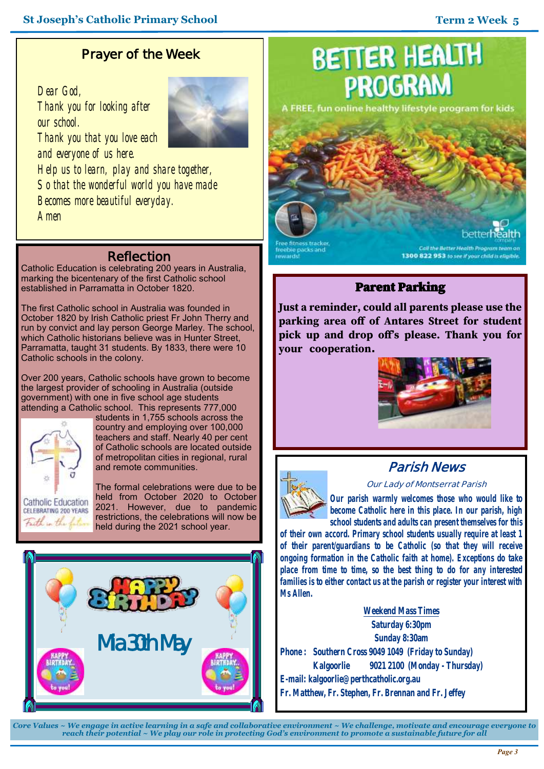## **Prayer of the Week**

*Dear God, Thank you for looking after our school. Thank you that you love each and everyone of us here. Help us to learn, play and share together, So that the wonderful world you have made Becomes more beautiful everyday. Amen*

## **Reflection**

Catholic Education is celebrating 200 years in Australia, marking the bicentenary of the first Catholic school established in Parramatta in October 1820.

The first Catholic school in Australia was founded in October 1820 by Irish Catholic priest Fr John Therry and run by convict and lay person George Marley. The school, which Catholic historians believe was in Hunter Street, Parramatta, taught 31 students. By 1833, there were 10 Catholic schools in the colony.

Over 200 years, Catholic schools have grown to become the largest provider of schooling in Australia (outside government) with one in five school age students attending a Catholic school. This represents 777,000



students in 1,755 schools across the country and employing over 100,000 teachers and staff. Nearly 40 per cent of Catholic schools are located outside of metropolitan cities in regional, rural and remote communities.

The formal celebrations were due to be held from October 2020 to October 2021. However, due to pandemic restrictions, the celebrations will now be held during the 2021 school year.



## **BETTER HEALTH PROGRAM**

A FREE, fun online healthy lifestyle program for kids

reebie packs and

all the Better Health Program team on 1300 822 953 to see if your child is eligible.

## Parent Parking

**Just a reminder, could all parents please use the parking area off of Antares Street for student pick up and drop off's please. Thank you for your cooperation.**





## **Parish News**

#### **Our Lady of Montserrat Parish**

*Our parish warmly welcomes those who would like to become Catholic here in this place. In our parish, high school students and adults can present themselves for this* 

*of their own accord. Primary school students usually require at least 1 of their parent/guardians to be Catholic (so that they will receive ongoing formation in the Catholic faith at home). Exceptions do take place from time to time, so the best thing to do for any interested families is to either contact us at the parish or register your interest with Ms Allen.*

**Weekend Mass Times Saturday 6:30pm Sunday 8:30am Phone : Southern Cross 9049 1049 (Friday to Sunday) Kalgoorlie 9021 2100 (Monday - Thursday) E-mail: kalgoorlie@perthcatholic.org.au Fr. Matthew, Fr. Stephen, Fr. Brennan and Fr. Jeffey**

*Core Values ~ We engage in active learning in a safe and collaborative environment ~ We challenge, motivate and encourage everyone to reach their potential ~ We play our role in protecting God's environment to promote a sustainable future for all*